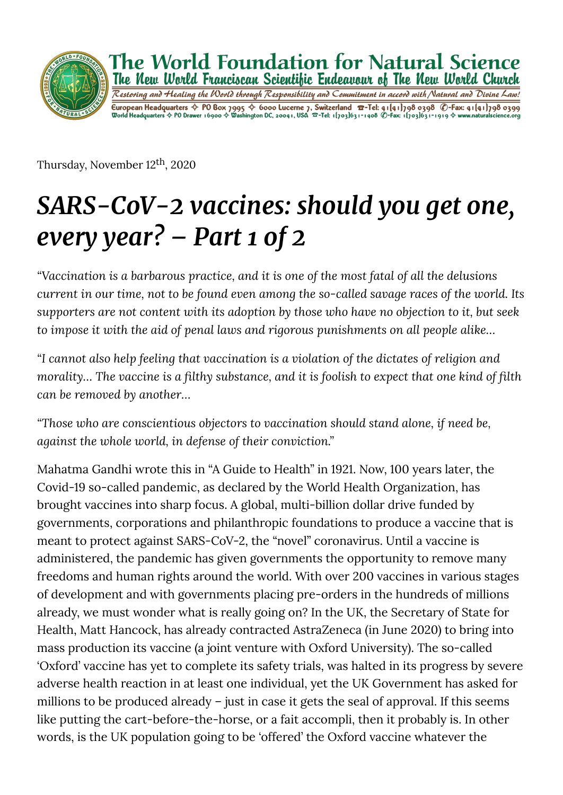

Thursday, November 12th, 2020

# *SARS-CoV-2 vaccines: should you get one, every year? – Part 1 of 2*

*"Vaccination is a barbarous practice, and it is one of the most fatal of all the delusions current in our time, not to be found even among the so-called savage races of the world. Its supporters are not content with its adoption by those who have no objection to it, but seek to impose it with the aid of penal laws and rigorous punishments on all people alike…*

*"I cannot also help feeling that vaccination is a violation of the dictates of religion and morality...* The vaccine is a filthy substance, and it is foolish to expect that one kind of filth *can be removed by another…*

*"Those who are conscientious objectors to vaccination should stand alone, if need be, against the whole world, in defense of their conviction."*

Mahatma Gandhi wrote this in "A Guide to Health" in 1921. Now, 100 years later, the Covid-19 so-called pandemic, as declared by the World Health Organization, has brought vaccines into sharp focus. A global, multi-billion dollar drive funded by governments, corporations and philanthropic foundations to produce a vaccine that is meant to protect against SARS-CoV-2, the "novel" coronavirus. Until a vaccine is administered, the pandemic has given governments the opportunity to remove many freedoms and human rights around the world. With over 200 vaccines in various stages of development and with governments placing pre-orders in the hundreds of millions already, we must wonder what is really going on? In the UK, the Secretary of State for Health, Matt Hancock, has already contracted AstraZeneca (in June 2020) to bring into mass production its vaccine (a joint venture with Oxford University). The so-called 'Oxford' vaccine has yet to complete its safety trials, was halted in its progress by severe adverse health reaction in at least one individual, yet the UK Government has asked for millions to be produced already – just in case it gets the seal of approval. If this seems like putting the cart-before-the-horse, or a fait accompli, then it probably is. In other words, is the UK population going to be 'offered' the Oxford vaccine whatever the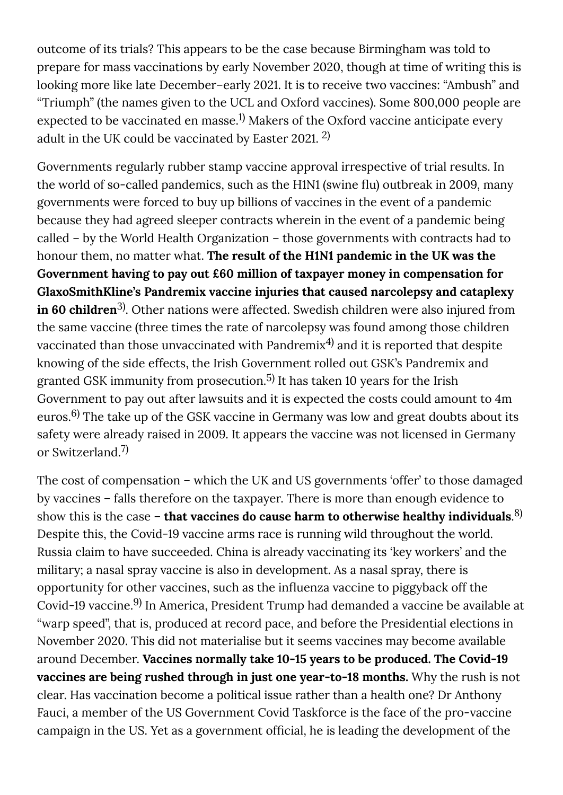outcome of its trials? This appears to be the case because Birmingham was told to prepare for mass vaccinations by early November 2020, though at time of writing this is looking more like late December–early 2021. It is to receive two vaccines: "Ambush" and "Triumph" (the names given to the UCL and Oxford vaccines). Some 800,000 people are expected to be vaccinated en masse. $^{1)}$  Makers of the Oxford vaccine anticipate every adult in the UK could be vaccinated by Easter 2021.  $^{2)}$ 

Governments regularly rubber stamp vaccine approval irrespective of trial results. In the world of so-called pandemics, such as the H1N1 (swine flu) outbreak in 2009, many governments were forced to buy up billions of vaccines in the event of a pandemic because they had agreed sleeper contracts wherein in the event of a pandemic being called – by the World Health Organization – those governments with contracts had to honour them, no matter what. **The result of the H1N1 pandemic in the UK was the Government having to pay out £60 million of taxpayer money in compensation for GlaxoSmithKline's Pandremix vaccine injuries that caused narcolepsy and cataplexy in 60 children**<sup>3)</sup>. Other nations were affected. Swedish children were also injured from the same vaccine (three times the rate of narcolepsy was found among those children vaccinated than those unvaccinated with Pandremix $^{\rm 4)}$  and it is reported that despite knowing of the side effects, the Irish Government rolled out GSK's Pandremix and granted GSK immunity from prosecution. $^{5)}$  It has taken 10 years for the Irish Government to pay out after lawsuits and it is expected the costs could amount to 4m euros. $^{6)}$  The take up of the GSK vaccine in Germany was low and great doubts about its safety were already raised in 2009. It appears the vaccine was not licensed in Germany or Switzerland. 7)

The cost of compensation – which the UK and US governments 'offer' to those damaged by vaccines – falls therefore on the taxpayer. There is more than enough evidence to show this is the case – **that vaccines do cause harm to otherwise healthy individuals**. 8) Despite this, the Covid-19 vaccine arms race is running wild throughout the world. Russia claim to have succeeded. China is already vaccinating its 'key workers' and the military; a nasal spray vaccine is also in development. As a nasal spray, there is opportunity for other vaccines, such as the in�uenza vaccine to piggyback off the Covid-19 vaccine.<sup>9)</sup> In America, President Trump had demanded a vaccine be available at "warp speed", that is, produced at record pace, and before the Presidential elections in November 2020. This did not materialise but it seems vaccines may become available around December. **Vaccines normally take 10-15 years to be produced. The Covid-19 vaccines are being rushed through in just one year-to-18 months.** Why the rush is not clear. Has vaccination become a political issue rather than a health one? Dr Anthony Fauci, a member of the US Government Covid Taskforce is the face of the pro-vaccine campaign in the US. Yet as a government official, he is leading the development of the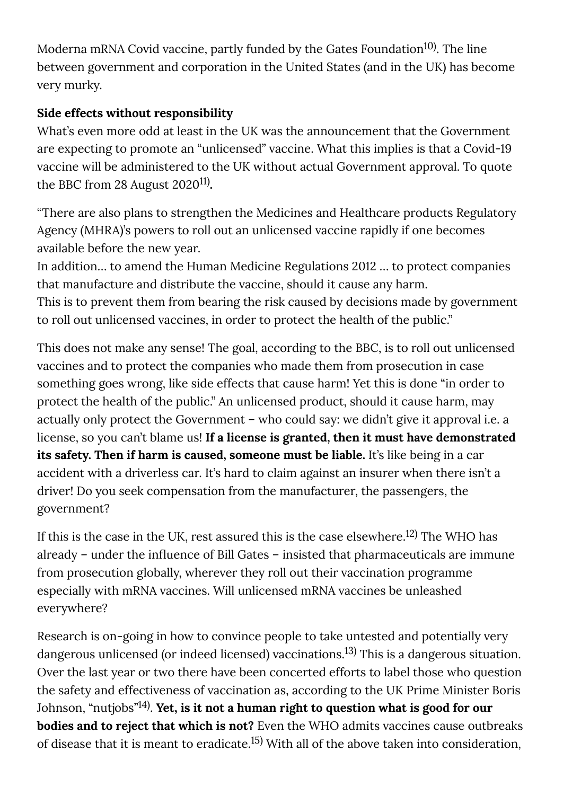Moderna mRNA Covid vaccine, partly funded by the Gates Foundation<sup>10)</sup>. The line between government and corporation in the United States (and in the UK) has become very murky.

# **Side effects without responsibility**

What's even more odd at least in the UK was the announcement that the Government are expecting to promote an "unlicensed" vaccine. What this implies is that a Covid-19 vaccine will be administered to the UK without actual Government approval. To quote the BBC from 28 August 2020<sup>11)</sup>.

"There are also plans to strengthen the Medicines and Healthcare products Regulatory Agency (MHRA)'s powers to roll out an unlicensed vaccine rapidly if one becomes available before the new year.

In addition… to amend the Human Medicine Regulations 2012 … to protect companies that manufacture and distribute the vaccine, should it cause any harm. This is to prevent them from bearing the risk caused by decisions made by government to roll out unlicensed vaccines, in order to protect the health of the public."

This does not make any sense! The goal, according to the BBC, is to roll out unlicensed vaccines and to protect the companies who made them from prosecution in case something goes wrong, like side effects that cause harm! Yet this is done "in order to protect the health of the public." An unlicensed product, should it cause harm, may actually only protect the Government – who could say: we didn't give it approval i.e. a license, so you can't blame us! **If a license is granted, then it must have demonstrated its safety. Then if harm is caused, someone must be liable.** It's like being in a car accident with a driverless car. It's hard to claim against an insurer when there isn't a driver! Do you seek compensation from the manufacturer, the passengers, the government?

If this is the case in the UK, rest assured this is the case elsewhere. $^{12)}$  The WHO has already – under the influence of Bill Gates – insisted that pharmaceuticals are immune from prosecution globally, wherever they roll out their vaccination programme especially with mRNA vaccines. Will unlicensed mRNA vaccines be unleashed everywhere?

Research is on-going in how to convince people to take untested and potentially very dangerous unlicensed (or indeed licensed) vaccinations. $^{13)}$  This is a dangerous situation. Over the last year or two there have been concerted efforts to label those who question the safety and effectiveness of vaccination as, according to the UK Prime Minister Boris Johnson, "nutjobs"<sup>14)</sup>. **Yet, is it not a human right to question what is good for our bodies and to reject that which is not?** Even the WHO admits vaccines cause outbreaks of disease that it is meant to eradicate.<sup>15)</sup> With all of the above taken into consideration,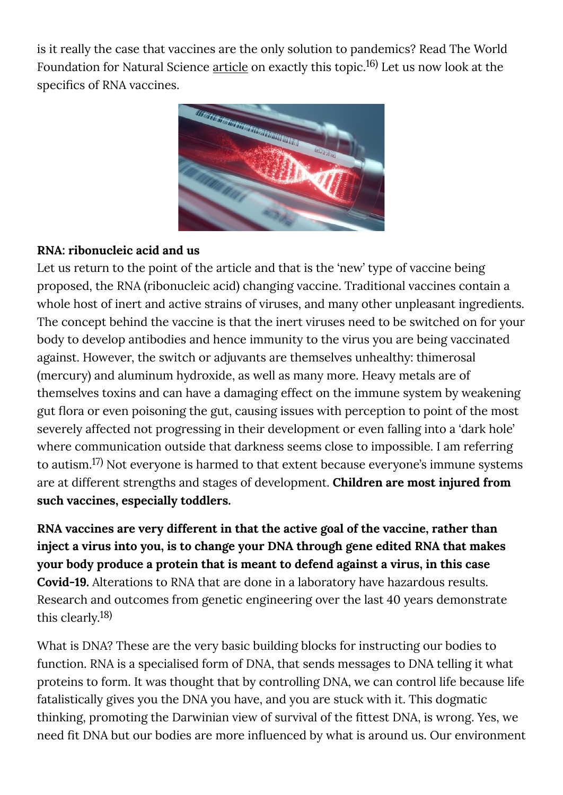is it really the case that vaccines are the only solution to pandemics? Read The World Foundation for Natural Science  $\frac{\text{article}}{\text{a}}$  on exactly this topic. $^{16)}$  Let us now look at the specifics of RNA vaccines.



#### **RNA: ribonucleic acid and us**

Let us return to the point of the article and that is the 'new' type of vaccine being proposed, the RNA (ribonucleic acid) changing vaccine. Traditional vaccines contain a whole host of inert and active strains of viruses, and many other unpleasant ingredients. The concept behind the vaccine is that the inert viruses need to be switched on for your body to develop antibodies and hence immunity to the virus you are being vaccinated against. However, the switch or adjuvants are themselves unhealthy: thimerosal (mercury) and aluminum hydroxide, as well as many more. Heavy metals are of themselves toxins and can have a damaging effect on the immune system by weakening gut flora or even poisoning the gut, causing issues with perception to point of the most severely affected not progressing in their development or even falling into a 'dark hole' where communication outside that darkness seems close to impossible. I am referring to autism. $^{17)}$  Not everyone is harmed to that extent because everyone's immune systems are at different strengths and stages of development. **Children are most injured from such vaccines, especially toddlers.**

**RNA vaccines are very different in that the active goal of the vaccine, rather than inject a virus into you, is to change your DNA through gene edited RNA that makes your body produce a protein that is meant to defend against a virus, in this case Covid-19.** Alterations to RNA that are done in a laboratory have hazardous results. Research and outcomes from genetic engineering over the last 40 years demonstrate this clearly. 18)

What is DNA? These are the very basic building blocks for instructing our bodies to function. RNA is a specialised form of DNA, that sends messages to DNA telling it what proteins to form. It was thought that by controlling DNA, we can control life because life fatalistically gives you the DNA you have, and you are stuck with it. This dogmatic thinking, promoting the Darwinian view of survival of the fittest DNA, is wrong. Yes, we need fit DNA but our bodies are more influenced by what is around us. Our environment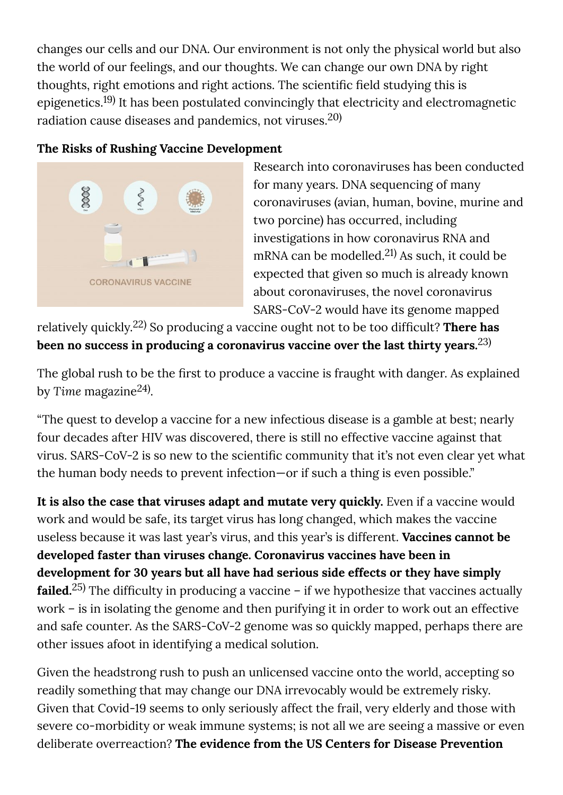changes our cells and our DNA. Our environment is not only the physical world but also the world of our feelings, and our thoughts. We can change our own DNA by right thoughts, right emotions and right actions. The scientific field studying this is epigenetics. $^{19)}$  It has been postulated convincingly that electricity and electromagnetic radiation cause diseases and pandemics, not viruses. $^{\rm 20)}$ 

## **The Risks of Rushing Vaccine Development**



Research into coronaviruses has been conducted for many years. DNA sequencing of many coronaviruses (avian, human, bovine, murine and two porcine) has occurred, including investigations in how coronavirus RNA and mRNA can be modelled.<sup>21)</sup> As such, it could be expected that given so much is already known about coronaviruses, the novel coronavirus SARS-CoV-2 would have its genome mapped

relatively quickly.<sup>22)</sup> So producing a vaccine ought not to be too difficult? **There has been no success in producing a coronavirus vaccine over the last thirty years.** 23)

The global rush to be the first to produce a vaccine is fraught with danger. As explained by Time magazine<sup>24)</sup>.

"The quest to develop a vaccine for a new infectious disease is a gamble at best; nearly four decades after HIV was discovered, there is still no effective vaccine against that virus. SARS-CoV-2 is so new to the scientific community that it's not even clear yet what the human body needs to prevent infection—or if such a thing is even possible."

**It is also the case that viruses adapt and mutate very quickly.** Even if a vaccine would work and would be safe, its target virus has long changed, which makes the vaccine useless because it was last year's virus, and this year's is different. **Vaccines cannot be developed faster than viruses change. Coronavirus vaccines have been in development for 30 years but all have had serious side effects or they have simply failed.** $^{25)}$  The difficulty in producing a vaccine – if we hypothesize that vaccines actually work – is in isolating the genome and then purifying it in order to work out an effective and safe counter. As the SARS-CoV-2 genome was so quickly mapped, perhaps there are other issues afoot in identifying a medical solution.

Given the headstrong rush to push an unlicensed vaccine onto the world, accepting so readily something that may change our DNA irrevocably would be extremely risky. Given that Covid-19 seems to only seriously affect the frail, very elderly and those with severe co-morbidity or weak immune systems; is not all we are seeing a massive or even deliberate overreaction? **The evidence from the US Centers for Disease Prevention**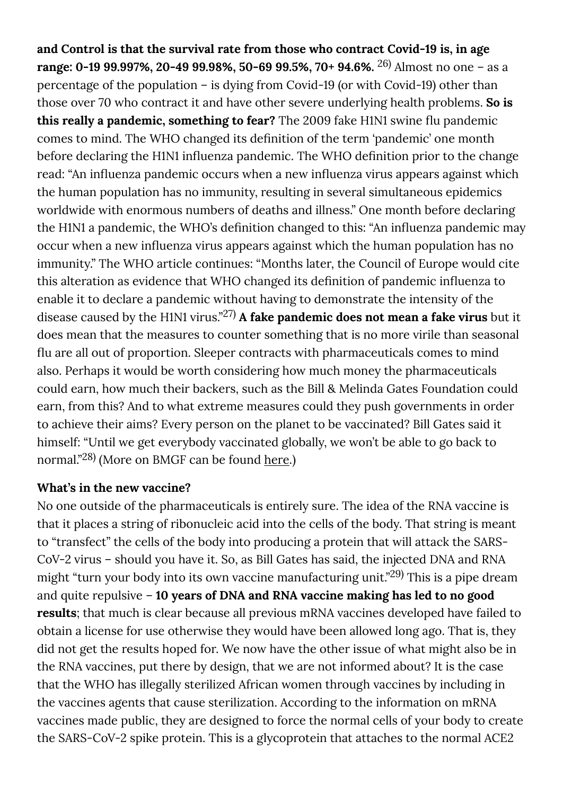**and Control is that the survival rate from those who contract Covid-19 is, in age range: 0-19 99.997%, 20-49 99.98%, 50-69 99.5%, 70+ 94.6%.** <sup>26)</sup> Almost no one – as a percentage of the population – is dying from Covid-19 (or with Covid-19) other than those over 70 who contract it and have other severe underlying health problems. **So is this really a pandemic, something to fear?** The 2009 fake H1N1 swine flu pandemic comes to mind. The WHO changed its definition of the term 'pandemic' one month before declaring the H1N1 influenza pandemic. The WHO definition prior to the change read: "An influenza pandemic occurs when a new influenza virus appears against which the human population has no immunity, resulting in several simultaneous epidemics worldwide with enormous numbers of deaths and illness." One month before declaring the H1N1 a pandemic, the WHO's definition changed to this: "An influenza pandemic may occur when a new influenza virus appears against which the human population has no immunity." The WHO article continues: "Months later, the Council of Europe would cite this alteration as evidence that WHO changed its definition of pandemic influenza to enable it to declare a pandemic without having to demonstrate the intensity of the disease caused by the H1N1 virus."<sup>27)</sup> A fake pandemic does not mean a fake virus but it does mean that the measures to counter something that is no more virile than seasonal flu are all out of proportion. Sleeper contracts with pharmaceuticals comes to mind also. Perhaps it would be worth considering how much money the pharmaceuticals could earn, how much their backers, such as the Bill & Melinda Gates Foundation could earn, from this? And to what extreme measures could they push governments in order to achieve their aims? Every person on the planet to be vaccinated? Bill Gates said it himself: "Until we get everybody vaccinated globally, we won't be able to go back to normal."<sup>28)</sup> (More on BMGF can be found <u>here</u>.)

#### **What's in the new vaccine?**

No one outside of the pharmaceuticals is entirely sure. The idea of the RNA vaccine is that it places a string of ribonucleic acid into the cells of the body. That string is meant to "transfect" the cells of the body into producing a protein that will attack the SARS-CoV-2 virus – should you have it. So, as Bill Gates has said, the injected DNA and RNA might "turn your body into its own vaccine manufacturing unit."<sup>29)</sup> This is a pipe dream and quite repulsive – **10 years of DNA and RNA vaccine making has led to no good results**; that much is clear because all previous mRNA vaccines developed have failed to obtain a license for use otherwise they would have been allowed long ago. That is, they did not get the results hoped for. We now have the other issue of what might also be in the RNA vaccines, put there by design, that we are not informed about? It is the case that the WHO has illegally sterilized African women through vaccines by including in the vaccines agents that cause sterilization. According to the information on mRNA vaccines made public, they are designed to force the normal cells of your body to create the SARS-CoV-2 spike protein. This is a glycoprotein that attaches to the normal ACE2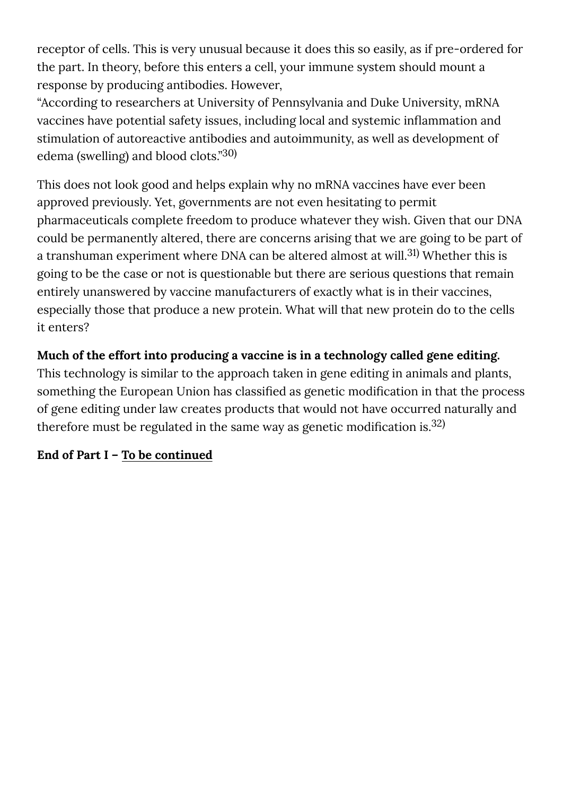receptor of cells. This is very unusual because it does this so easily, as if pre-ordered for the part. In theory, before this enters a cell, your immune system should mount a response by producing antibodies. However,

"According to researchers at University of Pennsylvania and Duke University, mRNA vaccines have potential safety issues, including local and systemic inflammation and stimulation of autoreactive antibodies and autoimmunity, as well as development of edema (swelling) and blood clots."<sup>30)</sup>

This does not look good and helps explain why no mRNA vaccines have ever been approved previously. Yet, governments are not even hesitating to permit pharmaceuticals complete freedom to produce whatever they wish. Given that our DNA could be permanently altered, there are concerns arising that we are going to be part of a transhuman experiment where DNA can be altered almost at will.<sup>31)</sup> Whether this is going to be the case or not is questionable but there are serious questions that remain entirely unanswered by vaccine manufacturers of exactly what is in their vaccines, especially those that produce a new protein. What will that new protein do to the cells it enters?

# **Much of the effort into producing a vaccine is in a technology called gene editing.**

This technology is similar to the approach taken in gene editing in animals and plants, something the European Union has classified as genetic modification in that the process of gene editing under law creates products that would not have occurred naturally and therefore must be regulated in the same way as genetic modification is.<sup>32)</sup>

## **End of Part I – [To be continued](https://www.naturalscience.org/news/2020/11/sars-cov-2-vaccines-should-you-get-one-every-year-part-ii-of-ii/)**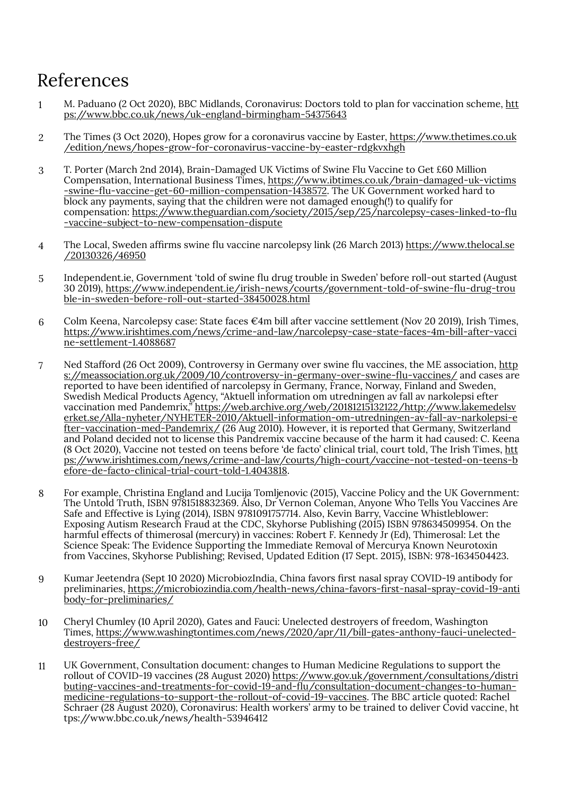# References

- 1 M. Paduano (2 Oct 2020), BBC Midlands, Coronavirus: Doctors told to plan for vaccination scheme, [htt](https://www.bbc.co.uk/news/uk-england-birmingham-54375643) [ps://www.bbc.co.uk/news/uk-england-birmingham-54375643](https://www.bbc.co.uk/news/uk-england-birmingham-54375643)
- 2 The Times (3 Oct 2020), Hopes grow for a coronavirus vaccine by Easter, [https://www.thetimes.co.uk](https://www.thetimes.co.uk/edition/news/hopes-grow-for-coronavirus-vaccine-by-easter-rdgkvxhgh) [/edition/news/hopes-grow-for-coronavirus-vaccine-by-easter-rdgkvxhgh](https://www.thetimes.co.uk/edition/news/hopes-grow-for-coronavirus-vaccine-by-easter-rdgkvxhgh)
- 3 T. Porter (March 2nd 2014), Brain-Damaged UK Victims of Swine Flu Vaccine to Get £60 Million Compensation, International Business Times, [https://www.ibtimes.co.uk/brain-damaged-uk-victims](https://www.ibtimes.co.uk/brain-damaged-uk-victims-swine-flu-vaccine-get-60-million-compensation-1438572) -swine-fl[u-vaccine-get-60-million-compensation-1438572.](https://www.ibtimes.co.uk/brain-damaged-uk-victims-swine-flu-vaccine-get-60-million-compensation-1438572) The UK Government worked hard to block any payments, saying that the children were not damaged enough(!) to qualify for compensation: [https://www.theguardian.com/society/2015/sep/25/narcolepsy-cases-linked-to-](https://www.theguardian.com/society/2015/sep/25/narcolepsy-cases-linked-to-flu-vaccine-subject-to-new-compensation-dispute)�u [-vaccine-subject-to-new-compensation-dispute](https://www.theguardian.com/society/2015/sep/25/narcolepsy-cases-linked-to-flu-vaccine-subject-to-new-compensation-dispute)
- 4 The Local, Sweden af�rms swine �u vaccine narcolepsy link (26 March 2013) [https://www.thelocal.se](https://www.thelocal.se/20130326/46950) [/20130326/46950](https://www.thelocal.se/20130326/46950)
- 5 Independent.ie, Government 'told of swine �u drug trouble in Sweden' before roll-out started (August 30 2019), [https://www.independent.ie/irish-news/courts/government-told-of-swine-](https://www.independent.ie/irish-news/courts/government-told-of-swine-flu-drug-trouble-in-sweden-before-roll-out-started-38450028.html)�u-drug-trou [ble-in-sweden-before-roll-out-started-38450028.html](https://www.independent.ie/irish-news/courts/government-told-of-swine-flu-drug-trouble-in-sweden-before-roll-out-started-38450028.html)
- 6 Colm Keena, Narcolepsy case: State faces €4m bill after vaccine settlement (Nov 20 2019), Irish Times, [https://www.irishtimes.com/news/crime-and-law/narcolepsy-case-state-faces-4m-bill-after-vacci](https://www.irishtimes.com/news/crime-and-law/narcolepsy-case-state-faces-4m-bill-after-vaccine-settlement-1.4088687) [ne-settlement-1.4088687](https://www.irishtimes.com/news/crime-and-law/narcolepsy-case-state-faces-4m-bill-after-vaccine-settlement-1.4088687)
- 7 Ned Stafford (26 Oct 2009), Controversy in Germany over swine flu vaccines, the ME association, [http](https://meassociation.org.uk/2009/10/controversy-in-germany-over-swine-flu-vaccines/) [s://meassociation.org.uk/2009/10/controversy-in-germany-over-swine-](https://meassociation.org.uk/2009/10/controversy-in-germany-over-swine-flu-vaccines/)flu-vaccines/ and cases are reported to have been identified of narcolepsy in Germany, France, Norway, Finland and Sweden, Swedish Medical Products Agency, "Aktuell information om utredningen av fall av narkolepsi efter vaccination med Pandemrix," <u>https://web.archive.org/web/20181215132122/http://www.lakemedelsv</u> [erket.se/Alla-nyheter/NYHETER-2010/Aktuell-information-om-utredningen-av-fall-av-narkolepsi-e](https://web.archive.org/web/20181215132122/http://www.lakemedelsverket.se/Alla-nyheter/NYHETER-2010/Aktuell-information-om-utredningen-av-fall-av-narkolepsi-efter-vaccination-med-Pandemrix/) [fter-vaccination-med-Pandemrix/](https://web.archive.org/web/20181215132122/http://www.lakemedelsverket.se/Alla-nyheter/NYHETER-2010/Aktuell-information-om-utredningen-av-fall-av-narkolepsi-efter-vaccination-med-Pandemrix/) (26 Aug 2010). However, it is reported that Germany, Switzerland and Poland decided not to license this Pandremix vaccine because of the harm it had caused: C. Keena (8 Oct 2020), Vaccine not tested on teens before 'de facto' clinical trial, court told, The Irish Times, [htt](https://www.irishtimes.com/news/crime-and-law/courts/high-court/vaccine-not-tested-on-teens-before-de-facto-clinical-trial-court-told-1.4043818) [ps://www.irishtimes.com/news/crime-and-law/courts/high-court/vaccine-not-tested-on-teens-b](https://www.irishtimes.com/news/crime-and-law/courts/high-court/vaccine-not-tested-on-teens-before-de-facto-clinical-trial-court-told-1.4043818) [efore-de-facto-clinical-trial-court-told-1.4043818.](https://www.irishtimes.com/news/crime-and-law/courts/high-court/vaccine-not-tested-on-teens-before-de-facto-clinical-trial-court-told-1.4043818)
- 8 For example, Christina England and Lucija Tomljenovic (2015), Vaccine Policy and the UK Government: The Untold Truth, ISBN 9781518832369. Also, Dr Vernon Coleman, Anyone Who Tells You Vaccines Are Safe and Effective is Lying (2014), ISBN 9781091757714. Also, Kevin Barry, Vaccine Whistleblower: Exposing Autism Research Fraud at the CDC, Skyhorse Publishing (2015) ISBN 978634509954. On the harmful effects of thimerosal (mercury) in vaccines: Robert F. Kennedy Jr (Ed), Thimerosal: Let the Science Speak: The Evidence Supporting the Immediate Removal of Mercurya Known Neurotoxin from Vaccines, Skyhorse Publishing; Revised, Updated Edition (17 Sept. 2015), ISBN: 978-1634504423.
- 9 Kumar Jeetendra (Sept 10 2020) MicrobiozIndia, China favors �rst nasal spray COVID-19 antibody for preliminaries, [https://microbiozindia.com/health-news/china-favors-](https://microbiozindia.com/health-news/china-favors-first-nasal-spray-covid-19-antibody-for-preliminaries/)�rst-nasal-spray-covid-19-anti [body-for-preliminaries/](https://microbiozindia.com/health-news/china-favors-first-nasal-spray-covid-19-antibody-for-preliminaries/)
- 10 Cheryl Chumley (10 April 2020), Gates and Fauci: Unelected destroyers of freedom, Washington Times, [https://www.washingtontimes.com/news/2020/apr/11/bill-gates-anthony-fauci-unelected](https://www.washingtontimes.com/news/2020/apr/11/bill-gates-anthony-fauci-unelected-destroyers-free/)[destroyers-free/](https://www.washingtontimes.com/news/2020/apr/11/bill-gates-anthony-fauci-unelected-destroyers-free/)
- 11 UK Government, Consultation document: changes to Human Medicine Regulations to support the rollout of COVID-19 vaccines (28 August 2020) [https://www.gov.uk/government/consultations/distri](https://www.gov.uk/government/consultations/distributing-vaccines-and-treatments-for-covid-19-and-flu/consultation-document-changes-to-human-medicine-regulations-to-support-the-rollout-of-covid-19-vaccines) [buting-vaccines-and-treatments-for-covid-19-and-](https://www.gov.uk/government/consultations/distributing-vaccines-and-treatments-for-covid-19-and-flu/consultation-document-changes-to-human-medicine-regulations-to-support-the-rollout-of-covid-19-vaccines)flu/consultation-document-changes-to-human[medicine-regulations-to-support-the-rollout-of-covid-19-vaccines.](https://www.gov.uk/government/consultations/distributing-vaccines-and-treatments-for-covid-19-and-flu/consultation-document-changes-to-human-medicine-regulations-to-support-the-rollout-of-covid-19-vaccines) The BBC article quoted: Rachel Schraer (28 August 2020), Coronavirus: Health workers' army to be trained to deliver Covid vaccine, ht tps://www.bbc.co.uk/news/health-53946412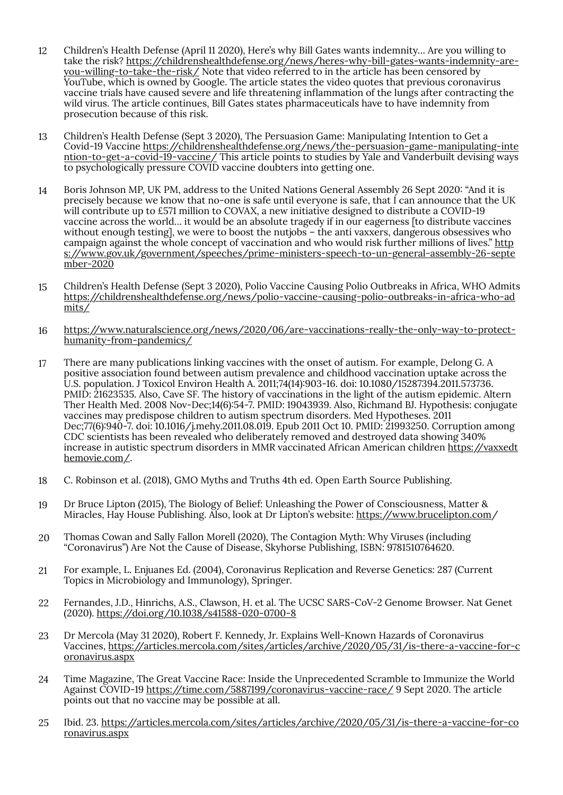- 12 Children's Health Defense (April 11 2020), Here's why Bill Gates wants indemnity… Are you willing to take the risk? [https://childrenshealthdefense.org/news/heres-why-bill-gates-wants-indemnity-are](https://childrenshealthdefense.org/news/heres-why-bill-gates-wants-indemnity-are-you-willing-to-take-the-risk/)[you-willing-to-take-the-risk/](https://childrenshealthdefense.org/news/heres-why-bill-gates-wants-indemnity-are-you-willing-to-take-the-risk/) Note that video referred to in the article has been censored by YouTube, which is owned by Google. The article states the video quotes that previous coronavirus vaccine trials have caused severe and life threatening inflammation of the lungs after contracting the wild virus. The article continues, Bill Gates states pharmaceuticals have to have indemnity from prosecution because of this risk.
- 13 Children's Health Defense (Sept 3 2020), The Persuasion Game: Manipulating Intention to Get a Covid-19 Vaccine [https://childrenshealthdefense.org/news/the-persuasion-game-manipulating-inte](https://childrenshealthdefense.org/news/the-persuasion-game-manipulating-intention-to-get-a-covid-19-vaccine/) [ntion-to-get-a-covid-19-vaccine/](https://childrenshealthdefense.org/news/the-persuasion-game-manipulating-intention-to-get-a-covid-19-vaccine/) This article points to studies by Yale and Vanderbuilt devising ways to psychologically pressure COVID vaccine doubters into getting one.
- 14 Boris Johnson MP, UK PM, address to the United Nations General Assembly 26 Sept 2020: "And it is precisely because we know that no-one is safe until everyone is safe, that I can announce that the UK will contribute up to £571 million to COVAX, a new initiative designed to distribute a COVID-19 vaccine across the world… it would be an absolute tragedy if in our eagerness [to distribute vaccines without enough testing], we were to boost the nutjobs – the anti vaxxers, dangerous obsessives who campaign against the whole concept of vaccination and who would risk further millions of lives." [http](https://www.gov.uk/government/speeches/prime-ministers-speech-to-un-general-assembly-26-september-2020) [s://www.gov.uk/government/speeches/prime-ministers-speech-to-un-general-assembly-26-septe](https://www.gov.uk/government/speeches/prime-ministers-speech-to-un-general-assembly-26-september-2020) [mber-2020](https://www.gov.uk/government/speeches/prime-ministers-speech-to-un-general-assembly-26-september-2020)
- 15 Children's Health Defense (Sept 3 2020), Polio Vaccine Causing Polio Outbreaks in Africa, WHO Admits [https://childrenshealthdefense.org/news/polio-vaccine-causing-polio-outbreaks-in-africa-who-ad](https://childrenshealthdefense.org/news/polio-vaccine-causing-polio-outbreaks-in-africa-who-admits/) [mits/](https://childrenshealthdefense.org/news/polio-vaccine-causing-polio-outbreaks-in-africa-who-admits/)
- 16 [https://www.naturalscience.org/news/2020/06/are-vaccinations-really-the-only-way-to-protect](https://www.naturalscience.org/news/2020/06/are-vaccinations-really-the-only-way-to-protect-humanity-from-pandemics/)[humanity-from-pandemics/](https://www.naturalscience.org/news/2020/06/are-vaccinations-really-the-only-way-to-protect-humanity-from-pandemics/)
- 17 There are many publications linking vaccines with the onset of autism. For example, Delong G. A positive association found between autism prevalence and childhood vaccination uptake across the U.S. population. J Toxicol Environ Health A. 2011;74(14):903-16. doi: 10.1080/15287394.2011.573736. PMID: 21623535. Also, Cave SF. The history of vaccinations in the light of the autism epidemic. Altern Ther Health Med. 2008 Nov-Dec;14(6)�54-7. PMID: 19043939. Also, Richmand BJ. Hypothesis: conjugate vaccines may predispose children to autism spectrum disorders. Med Hypotheses. 2011 Dec;77(6)�940-7. doi: 10.1016/j.mehy.2011.08.019. Epub 2011 Oct 10. PMID: 21993250. Corruption among CDC scientists has been revealed who deliberately removed and destroyed data showing 340% increase in autistic spectrum disorders in MMR vaccinated African American children [https://vaxxedt](https://vaxxedthemovie.com/) [hemovie.com/.](https://vaxxedthemovie.com/)
- 18 C. Robinson et al. (2018), GMO Myths and Truths 4th ed. Open Earth Source Publishing.
- 19 Dr Bruce Lipton (2015), The Biology of Belief: Unleashing the Power of Consciousness, Matter & Miracles, Hay House Publishing. Also, look at Dr Lipton's website:<https://www.brucelipton.com/>
- 20 Thomas Cowan and Sally Fallon Morell (2020), The Contagion Myth: Why Viruses (including "Coronavirus") Are Not the Cause of Disease, Skyhorse Publishing, ISBN: 9781510764620.
- 21 For example, L. Enjuanes Ed. (2004), Coronavirus Replication and Reverse Genetics: 287 (Current Topics in Microbiology and Immunology), Springer.
- 22 Fernandes, J.D., Hinrichs, A.S., Clawson, H. et al. The UCSC SARS-CoV-2 Genome Browser. Nat Genet (2020).<https://doi.org/10.1038/s41588-020-0700-8>
- 23 Dr Mercola (May 31 2020), Robert F. Kennedy, Jr. Explains Well-Known Hazards of Coronavirus Vaccines, [https://articles.mercola.com/sites/articles/archive/2020/05/31/is-there-a-vaccine-for-c](https://articles.mercola.com/sites/articles/archive/2020/05/31/is-there-a-vaccine-for-coronavirus.aspx) [oronavirus.aspx](https://articles.mercola.com/sites/articles/archive/2020/05/31/is-there-a-vaccine-for-coronavirus.aspx)
- 24 Time Magazine, The Great Vaccine Race: Inside the Unprecedented Scramble to Immunize the World Against COVID-19<https://time.com/5887199/coronavirus-vaccine-race/>9 Sept 2020. The article points out that no vaccine may be possible at all.
- 25 Ibid. 23. [https://articles.mercola.com/sites/articles/archive/2020/05/31/is-there-a-vaccine-for-co](https://articles.mercola.com/sites/articles/archive/2020/05/31/is-there-a-vaccine-for-coronavirus.aspx) [ronavirus.aspx](https://articles.mercola.com/sites/articles/archive/2020/05/31/is-there-a-vaccine-for-coronavirus.aspx)